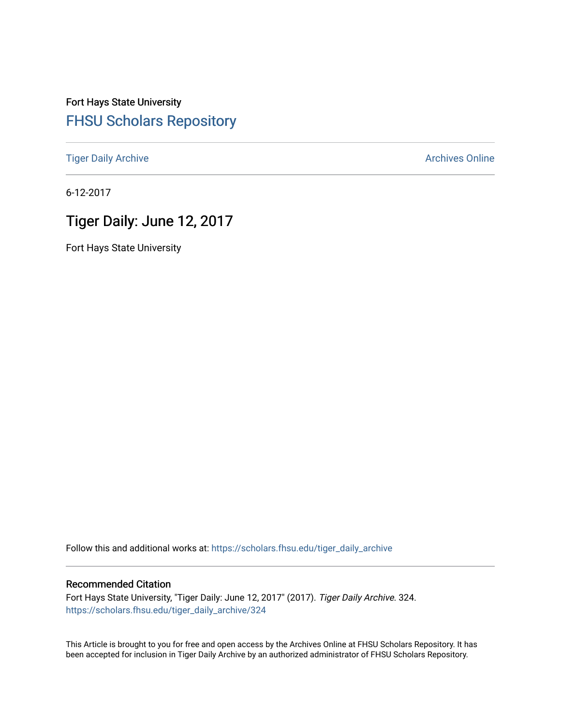## Fort Hays State University [FHSU Scholars Repository](https://scholars.fhsu.edu/)

[Tiger Daily Archive](https://scholars.fhsu.edu/tiger_daily_archive) **Archives** Online Archives Online

6-12-2017

# Tiger Daily: June 12, 2017

Fort Hays State University

Follow this and additional works at: [https://scholars.fhsu.edu/tiger\\_daily\\_archive](https://scholars.fhsu.edu/tiger_daily_archive?utm_source=scholars.fhsu.edu%2Ftiger_daily_archive%2F324&utm_medium=PDF&utm_campaign=PDFCoverPages)

### Recommended Citation

Fort Hays State University, "Tiger Daily: June 12, 2017" (2017). Tiger Daily Archive. 324. [https://scholars.fhsu.edu/tiger\\_daily\\_archive/324](https://scholars.fhsu.edu/tiger_daily_archive/324?utm_source=scholars.fhsu.edu%2Ftiger_daily_archive%2F324&utm_medium=PDF&utm_campaign=PDFCoverPages)

This Article is brought to you for free and open access by the Archives Online at FHSU Scholars Repository. It has been accepted for inclusion in Tiger Daily Archive by an authorized administrator of FHSU Scholars Repository.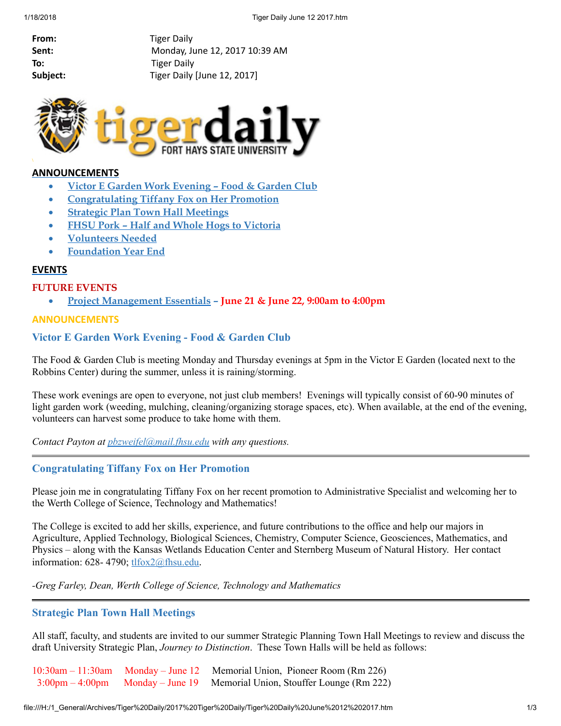From: Tiger Daily Sent: Monday, June 12, 2017 10:39 AM To: Tiger Daily Subject: Tiger Daily [June 12, 2017]



## ANNOUNCEMENTS

- Victor E Garden Work [Evening](#page-1-0) Food & Garden Club
- · [Congratulating](#page-1-1) Tiffany Fox on Her Promotion
- · Strategic Plan Town Hall [Meetings](#page-1-2)
- · FHSU Pork Half and Whole Hogs to [Victoria](#page-2-0)
- · [Volunteers](#page-2-1) Needed
- · [Foundation](#page-3-0) Year End

### **EVENTS**

#### FUTURE EVENTS

· Project [Management](#page-3-1) Essentials – June 21 & June 22, 9:00am to 4:00pm

### ANNOUNCEMENTS

## <span id="page-1-0"></span>Victor E Garden Work Evening - Food & Garden Club

The Food & Garden Club is meeting Monday and Thursday evenings at 5pm in the Victor E Garden (located next to the Robbins Center) during the summer, unless it is raining/storming.

These work evenings are open to everyone, not just club members! Evenings will typically consist of 60-90 minutes of light garden work (weeding, mulching, cleaning/organizing storage spaces, etc). When available, at the end of the evening, volunteers can harvest some produce to take home with them.

*Contact Payton at [pbzweifel@mail.fhsu.edu](mailto:pbzweifel@mail.fhsu.edu) with any questions.*

## <span id="page-1-1"></span>Congratulating Tiffany Fox on Her Promotion

Please join me in congratulating Tiffany Fox on her recent promotion to Administrative Specialist and welcoming her to the Werth College of Science, Technology and Mathematics!

The College is excited to add her skills, experience, and future contributions to the office and help our majors in Agriculture, Applied Technology, Biological Sciences, Chemistry, Computer Science, Geosciences, Mathematics, and Physics – along with the Kansas Wetlands Education Center and Sternberg Museum of Natural History. Her contact information: 628-4790; [tlfox2@fhsu.edu](mailto:tlfox2@fhsu.edu).

*-Greg Farley, Dean, Werth College of Science, Technology and Mathematics*

### <span id="page-1-2"></span>Strategic Plan Town Hall Meetings

All staff, faculty, and students are invited to our summer Strategic Planning Town Hall Meetings to review and discuss the draft University Strategic Plan, *Journey to Distinction*. These Town Halls will be held as follows:

10:30am – 11:30am Monday – June 12 Memorial Union, Pioneer Room (Rm 226) 3:00pm – 4:00pm Monday – June 19 Memorial Union, Stouffer Lounge (Rm 222)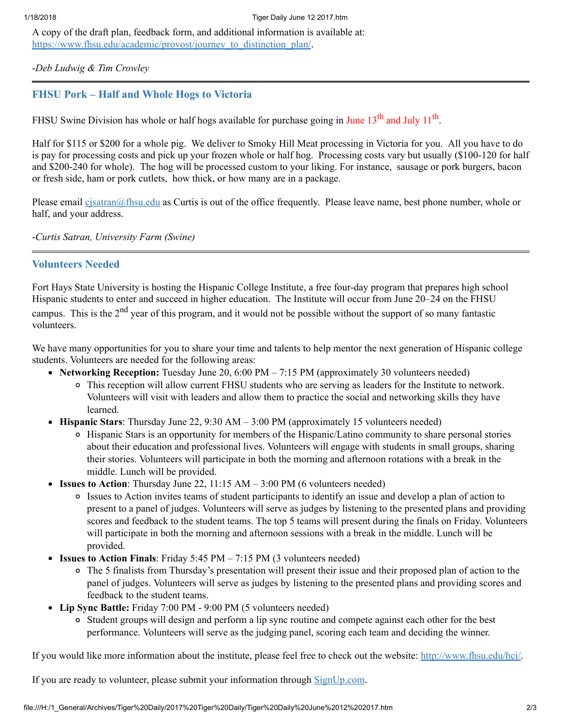A copy of the draft plan, feedback form, and additional information is available at: [https://www.fhsu.edu/academic/provost/journey\\_to\\_distinction\\_plan/](https://www.fhsu.edu/academic/provost/journey_to_distinction_plan/).

-*Deb Ludwig & Tim Crowley*

## <span id="page-2-0"></span>FHSU Pork – Half and Whole Hogs to Victoria

FHSU Swine Division has whole or half hogs available for purchase going in June  $13<sup>th</sup>$  and July  $11<sup>th</sup>$ .

Half for \$115 or \$200 for a whole pig. We deliver to Smoky Hill Meat processing in Victoria for you. All you have to do is pay for processing costs and pick up your frozen whole or half hog. Processing costs vary but usually (\$100-120 for half and \$200-240 for whole). The hog will be processed custom to your liking. For instance, sausage or pork burgers, bacon or fresh side, ham or pork cutlets, how thick, or how many are in a package.

Please email [cjsatran@fhsu.edu](mailto:cjsatran@fhsu.edu) as Curtis is out of the office frequently. Please leave name, best phone number, whole or half, and your address.

-*Curtis Satran, University Farm (Swine)*

## <span id="page-2-1"></span>Volunteers Needed

Fort Hays State University is hosting the Hispanic College Institute, a free four-day program that prepares high school Hispanic students to enter and succeed in higher education. The Institute will occur from June 20–24 on the FHSU campus. This is the 2<sup>nd</sup> year of this program, and it would not be possible without the support of so many fantastic volunteers.

We have many opportunities for you to share your time and talents to help mentor the next generation of Hispanic college students. Volunteers are needed for the following areas:

- Networking Reception: Tuesday June 20, 6:00 PM 7:15 PM (approximately 30 volunteers needed)
	- This reception will allow current FHSU students who are serving as leaders for the Institute to network. Volunteers will visit with leaders and allow them to practice the social and networking skills they have learned.
- **Hispanic Stars:** Thursday June 22, 9:30 AM  $-$  3:00 PM (approximately 15 volunteers needed)
	- Hispanic Stars is an opportunity for members of the Hispanic/Latino community to share personal stories about their education and professional lives. Volunteers will engage with students in small groups, sharing their stories. Volunteers will participate in both the morning and afternoon rotations with a break in the middle. Lunch will be provided.
- Issues to Action: Thursday June 22,  $11:15$  AM  $-3:00$  PM (6 volunteers needed)
	- Issues to Action invites teams of student participants to identify an issue and develop a plan of action to present to a panel of judges. Volunteers will serve as judges by listening to the presented plans and providing scores and feedback to the student teams. The top 5 teams will present during the finals on Friday. Volunteers will participate in both the morning and afternoon sessions with a break in the middle. Lunch will be provided.
- Issues to Action Finals: Friday  $5:45 \text{ PM} 7:15 \text{ PM}$  (3 volunteers needed)
	- The 5 finalists from Thursday's presentation will present their issue and their proposed plan of action to the panel of judges. Volunteers will serve as judges by listening to the presented plans and providing scores and feedback to the student teams.
- Lip Sync Battle: Friday 7:00 PM 9:00 PM (5 volunteers needed)
	- Student groups will design and perform a lip sync routine and compete against each other for the best performance. Volunteers will serve as the judging panel, scoring each team and deciding the winner.

If you would like more information about the institute, please feel free to check out the website: <http://www.fhsu.edu/hci/>.

If you are ready to volunteer, please submit your information through **[SignUp.com](http://signup.com/go/jzVVRWI)**.